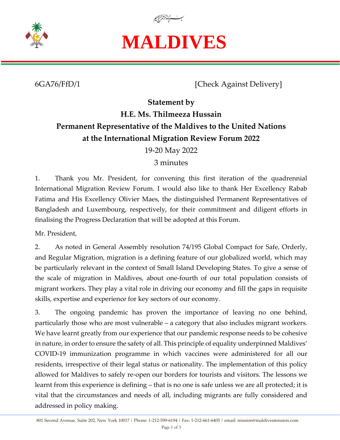

## **MALDIVES**

6GA76/FfD/1 [Check Against Delivery]

## **Statement by H.E. Ms. Thilmeeza Hussain Permanent Representative of the Maldives to the United Nations at the International Migration Review Forum 2022**

19-20 May 2022

3 minutes

1. Thank you Mr. President, for convening this first iteration of the quadrennial International Migration Review Forum. I would also like to thank Her Excellency Rabab Fatima and His Excellency Olivier Maes, the distinguished Permanent Representatives of Bangladesh and Luxembourg, respectively, for their commitment and diligent efforts in finalising the Progress Declaration that will be adopted at this Forum.

Mr. President,

2. As noted in General Assembly resolution 74/195 Global Compact for Safe, Orderly, and Regular Migration, migration is a defining feature of our globalized world, which may be particularly relevant in the context of Small Island Developing States. To give a sense of the scale of migration in Maldives, about one-fourth of our total population consists of migrant workers. They play a vital role in driving our economy and fill the gaps in requisite skills, expertise and experience for key sectors of our economy.

3. The ongoing pandemic has proven the importance of leaving no one behind, particularly those who are most vulnerable – a category that also includes migrant workers. We have learnt greatly from our experience that our pandemic response needs to be cohesive in nature, in order to ensure the safety of all. This principle of equality underpinned Maldives' COVID-19 immunization programme in which vaccines were administered for all our residents, irrespective of their legal status or nationality. The implementation of this policy allowed for Maldives to safely re-open our borders for tourists and visitors. The lessons we learnt from this experience is defining – that is no one is safe unless we are all protected; it is vital that the circumstances and needs of all, including migrants are fully considered and addressed in policy making.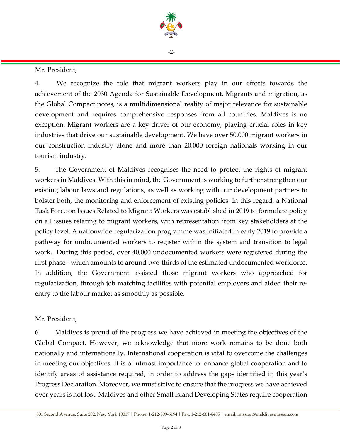

 $-2$ 

Mr. President,

4. We recognize the role that migrant workers play in our efforts towards the achievement of the 2030 Agenda for Sustainable Development. Migrants and migration, as the Global Compact notes, is a multidimensional reality of major relevance for sustainable development and requires comprehensive responses from all countries. Maldives is no exception. Migrant workers are a key driver of our economy, playing crucial roles in key industries that drive our sustainable development. We have over 50,000 migrant workers in our construction industry alone and more than 20,000 foreign nationals working in our tourism industry.

5. The Government of Maldives recognises the need to protect the rights of migrant workers in Maldives. With this in mind, the Government is working to further strengthen our existing labour laws and regulations, as well as working with our development partners to bolster both, the monitoring and enforcement of existing policies. In this regard, a National Task Force on Issues Related to Migrant Workers was established in 2019 to formulate policy on all issues relating to migrant workers, with representation from key stakeholders at the policy level. A nationwide regularization programme was initiated in early 2019 to provide a pathway for undocumented workers to register within the system and transition to legal work. During this period, over 40,000 undocumented workers were registered during the first phase - which amounts to around two-thirds of the estimated undocumented workforce. In addition, the Government assisted those migrant workers who approached for regularization, through job matching facilities with potential employers and aided their reentry to the labour market as smoothly as possible.

## Mr. President,

6. Maldives is proud of the progress we have achieved in meeting the objectives of the Global Compact. However, we acknowledge that more work remains to be done both nationally and internationally. International cooperation is vital to overcome the challenges in meeting our objectives. It is of utmost importance to enhance global cooperation and to identify areas of assistance required, in order to address the gaps identified in this year's Progress Declaration. Moreover, we must strive to ensure that the progress we have achieved over years is not lost. Maldives and other Small Island Developing States require cooperation

<sup>801</sup> Second Avenue, Suite 202, New York 10017 | Phone: 1-212-599-6194 | Fax: 1-212-661-6405 | email: mission@maldivesmission.com